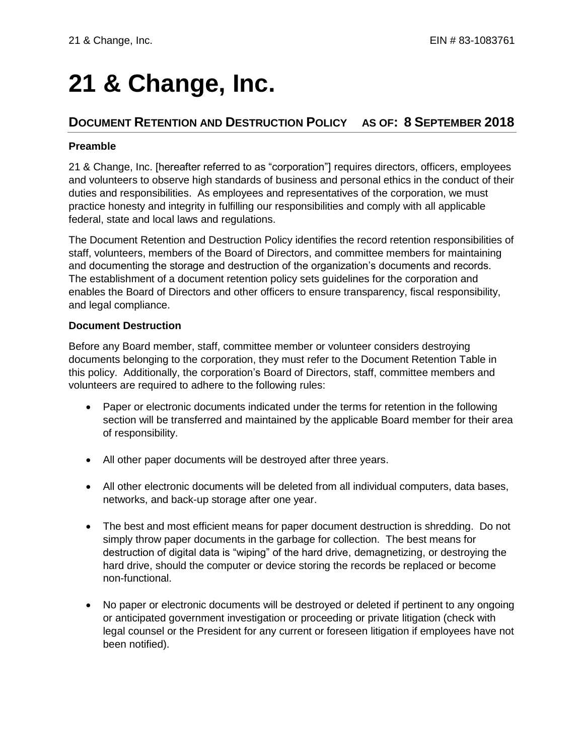# **21 & Change, Inc.**

# **DOCUMENT RETENTION AND DESTRUCTION POLICY AS OF: 8 SEPTEMBER 2018**

## **Preamble**

21 & Change, Inc. [hereafter referred to as "corporation"] requires directors, officers, employees and volunteers to observe high standards of business and personal ethics in the conduct of their duties and responsibilities. As employees and representatives of the corporation, we must practice honesty and integrity in fulfilling our responsibilities and comply with all applicable federal, state and local laws and regulations.

The Document Retention and Destruction Policy identifies the record retention responsibilities of staff, volunteers, members of the Board of Directors, and committee members for maintaining and documenting the storage and destruction of the organization's documents and records. The establishment of a document retention policy sets guidelines for the corporation and enables the Board of Directors and other officers to ensure transparency, fiscal responsibility, and legal compliance.

#### **Document Destruction**

Before any Board member, staff, committee member or volunteer considers destroying documents belonging to the corporation, they must refer to the Document Retention Table in this policy. Additionally, the corporation's Board of Directors, staff, committee members and volunteers are required to adhere to the following rules:

- Paper or electronic documents indicated under the terms for retention in the following section will be transferred and maintained by the applicable Board member for their area of responsibility.
- All other paper documents will be destroyed after three years.
- All other electronic documents will be deleted from all individual computers, data bases, networks, and back-up storage after one year.
- The best and most efficient means for paper document destruction is shredding. Do not simply throw paper documents in the garbage for collection. The best means for destruction of digital data is "wiping" of the hard drive, demagnetizing, or destroying the hard drive, should the computer or device storing the records be replaced or become non-functional.
- No paper or electronic documents will be destroyed or deleted if pertinent to any ongoing or anticipated government investigation or proceeding or private litigation (check with legal counsel or the President for any current or foreseen litigation if employees have not been notified).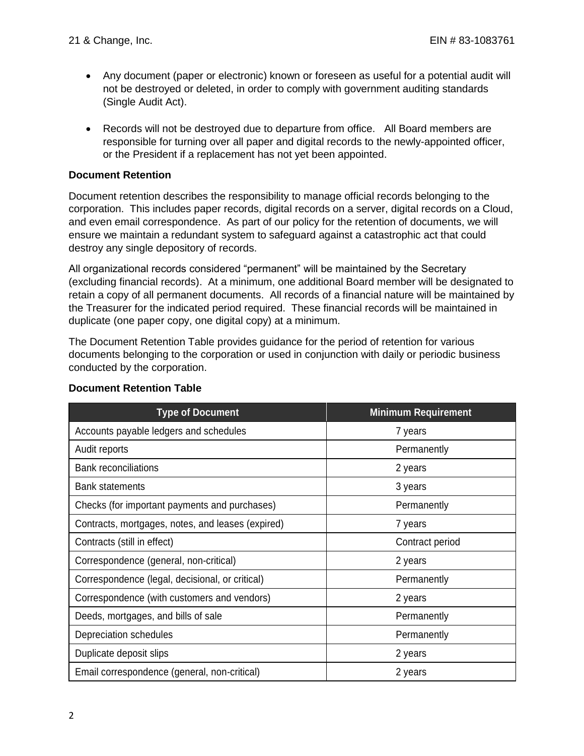- Any document (paper or electronic) known or foreseen as useful for a potential audit will not be destroyed or deleted, in order to comply with government auditing standards (Single Audit Act).
- Records will not be destroyed due to departure from office. All Board members are responsible for turning over all paper and digital records to the newly-appointed officer, or the President if a replacement has not yet been appointed.

### **Document Retention**

Document retention describes the responsibility to manage official records belonging to the corporation. This includes paper records, digital records on a server, digital records on a Cloud, and even email correspondence. As part of our policy for the retention of documents, we will ensure we maintain a redundant system to safeguard against a catastrophic act that could destroy any single depository of records.

All organizational records considered "permanent" will be maintained by the Secretary (excluding financial records). At a minimum, one additional Board member will be designated to retain a copy of all permanent documents. All records of a financial nature will be maintained by the Treasurer for the indicated period required. These financial records will be maintained in duplicate (one paper copy, one digital copy) at a minimum.

The Document Retention Table provides guidance for the period of retention for various documents belonging to the corporation or used in conjunction with daily or periodic business conducted by the corporation.

| <b>Type of Document</b>                           | <b>Minimum Requirement</b> |
|---------------------------------------------------|----------------------------|
| Accounts payable ledgers and schedules            | 7 years                    |
| Audit reports                                     | Permanently                |
| <b>Bank reconciliations</b>                       | 2 years                    |
| <b>Bank statements</b>                            | 3 years                    |
| Checks (for important payments and purchases)     | Permanently                |
| Contracts, mortgages, notes, and leases (expired) | 7 years                    |
| Contracts (still in effect)                       | Contract period            |
| Correspondence (general, non-critical)            | 2 years                    |
| Correspondence (legal, decisional, or critical)   | Permanently                |
| Correspondence (with customers and vendors)       | 2 years                    |
| Deeds, mortgages, and bills of sale               | Permanently                |
| Depreciation schedules                            | Permanently                |
| Duplicate deposit slips                           | 2 years                    |
| Email correspondence (general, non-critical)      | 2 years                    |

# **Document Retention Table**